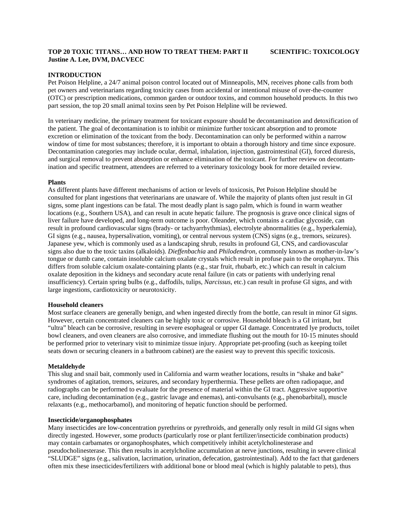# **TOP 20 TOXIC TITANS… AND HOW TO TREAT THEM: PART II SCIENTIFIC: TOXICOLOGY Justine A. Lee, DVM, DACVECC**

# **INTRODUCTION**

Pet Poison Helpline, a 24/7 animal poison control located out of Minneapolis, MN, receives phone calls from both pet owners and veterinarians regarding toxicity cases from accidental or intentional misuse of over-the-counter (OTC) or prescription medications, common garden or outdoor toxins, and common household products. In this two part session, the top 20 small animal toxins seen by Pet Poison Helpline will be reviewed.

In veterinary medicine, the primary treatment for toxicant exposure should be decontamination and detoxification of the patient. The goal of decontamination is to inhibit or minimize further toxicant absorption and to promote excretion or elimination of the toxicant from the body. Decontamination can only be performed within a narrow window of time for most substances; therefore, it is important to obtain a thorough history and time since exposure. Decontamination categories may include ocular, dermal, inhalation, injection, gastrointestinal (GI), forced diuresis, and surgical removal to prevent absorption or enhance elimination of the toxicant. For further review on decontamination and specific treatment, attendees are referred to a veterinary toxicology book for more detailed review.

# **Plants**

As different plants have different mechanisms of action or levels of toxicosis, Pet Poison Helpline should be consulted for plant ingestions that veterinarians are unaware of. While the majority of plants often just result in GI signs, some plant ingestions can be fatal. The most deadly plant is sago palm, which is found in warm weather locations (e.g., Southern USA), and can result in acute hepatic failure. The prognosis is grave once clinical signs of liver failure have developed, and long-term outcome is poor. Oleander, which contains a cardiac glycoside, can result in profound cardiovascular signs (brady- or tachyarrhythmias), electrolyte abnormalities (e.g., hyperkalemia), GI signs (e.g., nausea, hypersalivation, vomiting), or central nervous system (CNS) signs (e.g., tremors, seizures). Japanese yew, which is commonly used as a landscaping shrub, results in profound GI, CNS, and cardiovascular signs also due to the toxic taxins (alkaloids). *Dieffenbachia* and *Philodendron*, commonly known as mother-in-law's tongue or dumb cane, contain insoluble calcium oxalate crystals which result in profuse pain to the oropharynx. This differs from soluble calcium oxalate-containing plants (e.g., star fruit, rhubarb, etc.) which can result in calcium oxalate deposition in the kidneys and secondary acute renal failure (in cats or patients with underlying renal insufficiency). Certain spring bulbs (e.g., daffodils, tulips, *Narcissus*, etc.) can result in profuse GI signs, and with large ingestions, cardiotoxicity or neurotoxicity.

## **Household cleaners**

Most surface cleaners are generally benign, and when ingested directly from the bottle, can result in minor GI signs. However, certain concentrated cleaners can be highly toxic or corrosive. Household bleach is a GI irritant, but "ultra" bleach can be corrosive, resulting in severe esophageal or upper GI damage. Concentrated lye products, toilet bowl cleaners, and oven cleaners are also corrosive, and immediate flushing out the mouth for 10-15 minutes should be performed prior to veterinary visit to minimize tissue injury. Appropriate pet-proofing (such as keeping toilet seats down or securing cleaners in a bathroom cabinet) are the easiest way to prevent this specific toxicosis.

# **Metaldehyde**

This slug and snail bait, commonly used in California and warm weather locations, results in "shake and bake" syndromes of agitation, tremors, seizures, and secondary hyperthermia. These pellets are often radiopaque, and radiographs can be performed to evaluate for the presence of material within the GI tract. Aggressive supportive care, including decontamination (e.g., gastric lavage and enemas), anti-convulsants (e.g., phenobarbital), muscle relaxants (e.g., methocarbamol), and monitoring of hepatic function should be performed.

## **Insecticide/organophosphates**

Many insecticides are low-concentration pyrethrins or pyrethroids, and generally only result in mild GI signs when directly ingested. However, some products (particularly rose or plant fertilizer/insecticide combination products) may contain carbamates or organophosphates, which competitively inhibit acetylcholinesterase and pseudocholinesterase. This then results in acetylcholine accumulation at nerve junctions, resulting in severe clinical "SLUDGE" signs (e.g., salivation, lacrimation, urination, defecation, gastrointestinal). Add to the fact that gardeners often mix these insecticides/fertilizers with additional bone or blood meal (which is highly palatable to pets), thus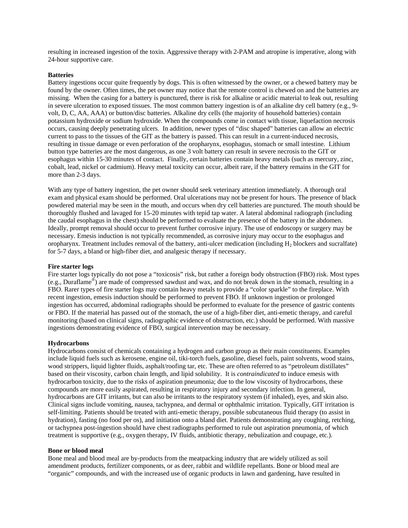resulting in increased ingestion of the toxin. Aggressive therapy with 2-PAM and atropine is imperative, along with 24-hour supportive care.

### **Batteries**

Battery ingestions occur quite frequently by dogs. This is often witnessed by the owner, or a chewed battery may be found by the owner. Often times, the pet owner may notice that the remote control is chewed on and the batteries are missing. When the casing for a battery is punctured, there is risk for alkaline or acidic material to leak out, resulting in severe ulceration to exposed tissues. The most common battery ingestion is of an alkaline dry cell battery (e.g., 9 volt, D, C, AA, AAA) or button/disc batteries. Alkaline dry cells (the majority of household batteries) contain potassium hydroxide or sodium hydroxide. When the compounds come in contact with tissue, liquefaction necrosis occurs, causing deeply penetrating ulcers. In addition, newer types of "disc shaped" batteries can allow an electric current to pass to the tissues of the GIT as the battery is passed. This can result in a current-induced necrosis, resulting in tissue damage or even perforation of the oropharynx, esophagus, stomach or small intestine. Lithium button type batteries are the most dangerous, as one 3 volt battery can result in severe necrosis to the GIT or esophagus within 15-30 minutes of contact. Finally, certain batteries contain heavy metals (such as mercury, zinc, cobalt, lead, nickel or cadmium). Heavy metal toxicity can occur, albeit rare, if the battery remains in the GIT for more than 2-3 days.

With any type of battery ingestion, the pet owner should seek veterinary attention immediately. A thorough oral exam and physical exam should be performed. Oral ulcerations may not be present for hours. The presence of black powdered material may be seen in the mouth, and occurs when dry cell batteries are punctured. The mouth should be thoroughly flushed and lavaged for 15-20 minutes with tepid tap water. A lateral abdominal radiograph (including the caudal esophagus in the chest) should be performed to evaluate the presence of the battery in the abdomen. Ideally, prompt removal should occur to prevent further corrosive injury. The use of endoscopy or surgery may be necessary. Emesis induction is not typically recommended, as corrosive injury may occur to the esophagus and oropharynx. Treatment includes removal of the battery, anti-ulcer medication (including H2 blockers and sucralfate) for 5-7 days, a bland or high-fiber diet, and analgesic therapy if necessary.

#### **Fire starter logs**

Fire starter logs typically do not pose a "toxicosis" risk, but rather a foreign body obstruction (FBO) risk. Most types (e.g., Duraflame®) are made of compressed sawdust and wax, and do not break down in the stomach, resulting in a FBO. Rarer types of fire starter logs may contain heavy metals to provide a "color sparkle" to the fireplace. With recent ingestion, emesis induction should be performed to prevent FBO. If unknown ingestion or prolonged ingestion has occurred, abdominal radiographs should be performed to evaluate for the presence of gastric contents or FBO. If the material has passed out of the stomach, the use of a high-fiber diet, anti-emetic therapy, and careful monitoring (based on clinical signs, radiographic evidence of obstruction, etc.) should be performed. With massive ingestions demonstrating evidence of FBO, surgical intervention may be necessary.

#### **Hydrocarbons**

Hydrocarbons consist of chemicals containing a hydrogen and carbon group as their main constituents. Examples include liquid fuels such as kerosene, engine oil, tiki-torch fuels, gasoline, diesel fuels, paint solvents, wood stains, wood strippers, liquid lighter fluids, asphalt/roofing tar, etc. These are often referred to as "petroleum distillates" based on their viscosity, carbon chain length, and lipid solubility. It is *contraindicated* to induce emesis with hydrocarbon toxicity, due to the risks of aspiration pneumonia; due to the low viscosity of hydrocarbons, these compounds are more easily aspirated, resulting in respiratory injury and secondary infection. In general, hydrocarbons are GIT irritants, but can also be irritants to the respiratory system (if inhaled), eyes, and skin also. Clinical signs include vomiting, nausea, tachypnea, and dermal or ophthalmic irritation. Typically, GIT irritation is self-limiting. Patients should be treated with anti-emetic therapy, possible subcutaneous fluid therapy (to assist in hydration), fasting (no food per os), and initiation onto a bland diet. Patients demonstrating any coughing, retching, or tachypnea post-ingestion should have chest radiographs performed to rule out aspiration pneumonia, of which treatment is supportive (e.g., oxygen therapy, IV fluids, antibiotic therapy, nebulization and coupage, etc.).

## **Bone or blood meal**

Bone meal and blood meal are by-products from the meatpacking industry that are widely utilized as soil amendment products, fertilizer components, or as deer, rabbit and wildlife repellants. Bone or blood meal are "organic" compounds, and with the increased use of organic products in lawn and gardening, have resulted in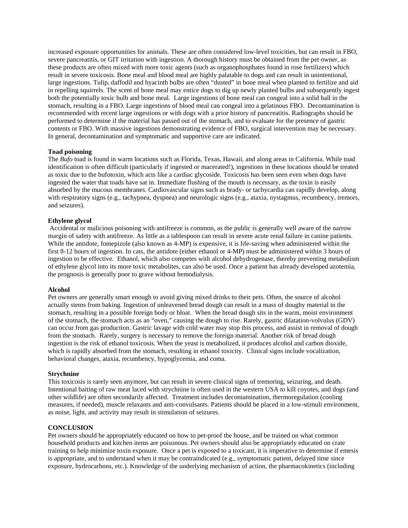increased exposure opportunities for animals. These are often considered low-level toxicities, but can result in FBO, severe pancreatitis, or GIT irritation with ingestion. A thorough history must be obtained from the pet owner, as these products are often mixed with more toxic agents (such as organophosphates found in rose fertilizers) which result in severe toxicosis. Bone meal and blood meal are highly palatable to dogs and can result in unintentional, large ingestions. Tulip, daffodil and hyacinth bulbs are often "dusted" in bone meal when planted to fertilize and aid in repelling squirrels. The scent of bone meal may entice dogs to dig up newly planted bulbs and subsequently ingest both the potentially toxic bulb and bone meal. Large ingestions of bone meal can congeal into a solid ball in the stomach, resulting in a FBO. Large ingestions of blood meal can congeal into a gelatinous FBO. Decontamination is recommended with recent large ingestions or with dogs with a prior history of pancreatitis. Radiographs should be performed to determine if the material has passed out of the stomach, and to evaluate for the presence of gastric contents or FBO. With massive ingestions demonstrating evidence of FBO, surgical intervention may be necessary. In general, decontamination and symptomatic and supportive care are indicated.

## **Toad poisoning**

The *Bufo* toad is found in warm locations such as Florida, Texas, Hawaii, and along areas in California. While toad identification is often difficult (particularly if ingested or macerated!), ingestions in these locations should be treated as toxic due to the bufotoxin, which acts like a cardiac glycoside. Toxicosis has been seen even when dogs have ingested the water that toads have sat in. Immediate flushing of the mouth is necessary, as the toxin is easily absorbed by the mucous membranes. Cardiovascular signs such as brady- or tachycardia can rapidly develop, along with respiratory signs (e.g., tachypnea, dyspnea) and neurologic signs (e.g., ataxia, nystagmus, recumbency, tremors, and seizures).

# **Ethylene glycol**

 Accidental or malicious poisoning with antifreeze is common, as the public is generally well aware of the narrow margin of safety with antifreeze. As little as a tablespoon can result in severe acute renal failure in canine patients. While the antidote, fomepizole (also known as  $4-MP$ ) is expensive, it is life-saving when administered within the first 8-12 hours of ingestion. In cats, the antidote (either ethanol or 4-MP) must be administered within 3 hours of ingestion to be effective. Ethanol, which also competes with alcohol dehydrogenase, thereby preventing metabolism of ethylene glycol into its more toxic metabolites, can also be used. Once a patient has already developed azotemia, the prognosis is generally poor to grave without hemodialysis.

## **Alcohol**

Pet owners are generally smart enough to avoid giving mixed drinks to their pets. Often, the source of alcohol actually stems from baking. Ingestion of unleavened bread dough can result in a mass of doughy material in the stomach, resulting in a possible foreign body or bloat. When the bread dough sits in the warm, moist environment of the stomach, the stomach acts as an "oven," causing the dough to rise. Rarely, gastric dilatation-volvulus (GDV) can occur from gas production. Gastric lavage with cold water may stop this process, and assist in removal of dough from the stomach. Rarely, surgery is necessary to remove the foreign material. Another risk of bread dough ingestion is the risk of ethanol toxicosis. When the yeast is metabolized, it produces alcohol and carbon dioxide, which is rapidly absorbed from the stomach, resulting in ethanol toxicity. Clinical signs include vocalization, behavioral changes, ataxia, recumbency, hypoglycemia, and coma.

# **Strychnine**

This toxicosis is rarely seen anymore, but can result in severe clinical signs of tremoring, seizuring, and death. Intentional baiting of raw meat laced with strychnine is often used in the western USA to kill coyotes, and dogs (and other wildlife) are often secondarily affected. Treatment includes decontamination, thermoregulation (cooling measures, if needed), muscle relaxants and anti-convulsants. Patients should be placed in a low-stimuli environment, as noise, light, and activity may result in stimulation of seizures.

## **CONCLUSION**

Pet owners should be appropriately educated on how to pet-proof the house, and be trained on what common household products and kitchen items are poisonous. Pet owners should also be appropriately educated on crate training to help minimize toxin exposure. Once a pet is exposed to a toxicant, it is imperative to determine if emesis is appropriate, and to understand when it may be contraindicated (e.g., symptomatic patient, delayed time since exposure, hydrocarbons, etc.). Knowledge of the underlying mechanism of action, the pharmacokinetics (including